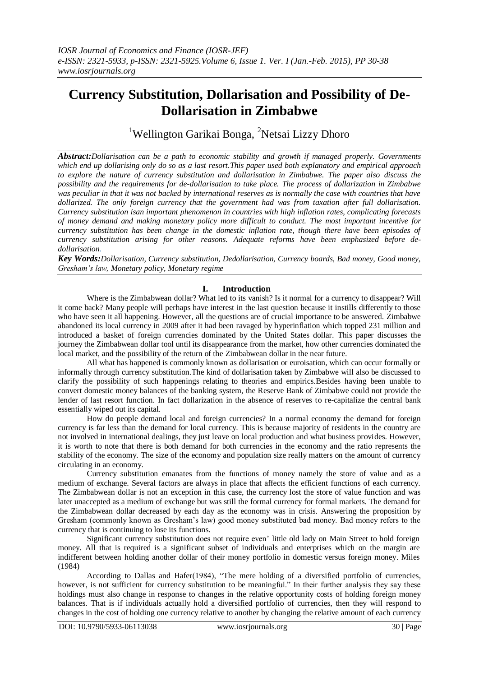# **Currency Substitution, Dollarisation and Possibility of De-Dollarisation in Zimbabwe**

<sup>1</sup>Wellington Garikai Bonga, <sup>2</sup>Netsai Lizzy Dhoro

*Abstract:Dollarisation can be a path to economic stability and growth if managed properly. Governments which end up dollarising only do so as a last resort.This paper used both explanatory and empirical approach to explore the nature of currency substitution and dollarisation in Zimbabwe. The paper also discuss the possibility and the requirements for de-dollarisation to take place. The process of dollarization in Zimbabwe was peculiar in that it was not backed by international reserves as is normally the case with countries that have dollarized. The only foreign currency that the government had was from taxation after full dollarisation. Currency substitution isan important phenomenon in countries with high inflation rates, complicating forecasts of money demand and making monetary policy more difficult to conduct. The most important incentive for currency substitution has been change in the domestic inflation rate, though there have been episodes of currency substitution arising for other reasons. Adequate reforms have been emphasized before dedollarisation.*

*Key Words:Dollarisation, Currency substitution, Dedollarisation, Currency boards, Bad money, Good money, Gresham's law, Monetary policy, Monetary regime*

# **I. Introduction**

Where is the Zimbabwean dollar? What led to its vanish? Is it normal for a currency to disappear? Will it come back? Many people will perhaps have interest in the last question because it instills differently to those who have seen it all happening. However, all the questions are of crucial importance to be answered. Zimbabwe abandoned its local currency in 2009 after it had been ravaged by hyperinflation which topped 231 million and introduced a basket of foreign currencies dominated by the United States dollar. This paper discusses the journey the Zimbabwean dollar tool until its disappearance from the market, how other currencies dominated the local market, and the possibility of the return of the Zimbabwean dollar in the near future.

All what has happened is commonly known as dollarisation or euroisation, which can occur formally or informally through currency substitution.The kind of dollarisation taken by Zimbabwe will also be discussed to clarify the possibility of such happenings relating to theories and empirics.Besides having been unable to convert domestic money balances of the banking system, the Reserve Bank of Zimbabwe could not provide the lender of last resort function. In fact dollarization in the absence of reserves to re-capitalize the central bank essentially wiped out its capital.

How do people demand local and foreign currencies? In a normal economy the demand for foreign currency is far less than the demand for local currency. This is because majority of residents in the country are not involved in international dealings, they just leave on local production and what business provides. However, it is worth to note that there is both demand for both currencies in the economy and the ratio represents the stability of the economy. The size of the economy and population size really matters on the amount of currency circulating in an economy.

Currency substitution emanates from the functions of money namely the store of value and as a medium of exchange. Several factors are always in place that affects the efficient functions of each currency. The Zimbabwean dollar is not an exception in this case, the currency lost the store of value function and was later unaccepted as a medium of exchange but was still the formal currency for formal markets. The demand for the Zimbabwean dollar decreased by each day as the economy was in crisis. Answering the proposition by Gresham (commonly known as Gresham's law) good money substituted bad money. Bad money refers to the currency that is continuing to lose its functions.

Significant currency substitution does not require even' little old lady on Main Street to hold foreign money. All that is required is a significant subset of individuals and enterprises which on the margin are indifferent between holding another dollar of their money portfolio in domestic versus foreign money. Miles (1984)

According to Dallas and Hafer(1984), "The mere holding of a diversified portfolio of currencies, however, is not sufficient for currency substitution to be meaningful." In their further analysis they say these holdings must also change in response to changes in the relative opportunity costs of holding foreign money balances. That is if individuals actually hold a diversified portfolio of currencies, then they will respond to changes in the cost of holding one currency relative to another by changing the relative amount of each currency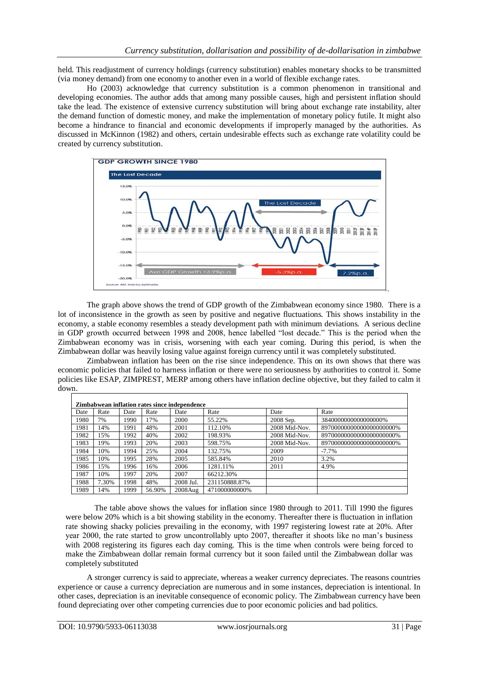held. This readjustment of currency holdings (currency substitution) enables monetary shocks to be transmitted (via money demand) from one economy to another even in a world of flexible exchange rates.

Ho (2003) acknowledge that currency substitution is a common phenomenon in transitional and developing economies. The author adds that among many possible causes, high and persistent inflation should take the lead. The existence of extensive currency substitution will bring about exchange rate instability, alter the demand function of domestic money, and make the implementation of monetary policy futile. It might also become a hindrance to financial and economic developments if improperly managed by the authorities. As discussed in McKinnon (1982) and others, certain undesirable effects such as exchange rate volatility could be created by currency substitution.



The graph above shows the trend of GDP growth of the Zimbabwean economy since 1980. There is a lot of inconsistence in the growth as seen by positive and negative fluctuations. This shows instability in the economy, a stable economy resembles a steady development path with minimum deviations. A serious decline in GDP growth occurred between 1998 and 2008, hence labelled "lost decade." This is the period when the Zimbabwean economy was in crisis, worsening with each year coming. During this period, is when the Zimbabwean dollar was heavily losing value against foreign currency until it was completely substituted.

Zimbabwean inflation has been on the rise since independence. This on its own shows that there was economic policies that failed to harness inflation or there were no seriousness by authorities to control it. Some policies like ESAP, ZIMPREST, MERP among others have inflation decline objective, but they failed to calm it down.

| Zimbabwean inflation rates since independence |       |      |        |            |               |               |                           |
|-----------------------------------------------|-------|------|--------|------------|---------------|---------------|---------------------------|
| Date                                          | Rate  | Date | Rate   | Date       | Rate          | Date          | Rate                      |
| 1980                                          | 7%    | 1990 | 17%    | 2000       | 55.22%        | 2008 Sep.     | 3840000000000000000%      |
| 1981                                          | 14%   | 1991 | 48%    | 2001       | 112.10%       | 2008 Mid-Nov. | 897000000000000000000000% |
| 1982                                          | 15%   | 1992 | 40%    | 2002       | 198.93%       | 2008 Mid-Nov. | 897000000000000000000000% |
| 1983                                          | 19%   | 1993 | 20%    | 2003       | 598.75%       | 2008 Mid-Nov. | 897000000000000000000000% |
| 1984                                          | 10%   | 1994 | 25%    | 2004       | 132.75%       | 2009          | $-7.7\%$                  |
| 1985                                          | 10%   | 1995 | 28%    | 2005       | 585.84%       | 2010          | 3.2%                      |
| 1986                                          | 15%   | 1996 | 16%    | 2006       | 1281.11%      | 2011          | 4.9%                      |
| 1987                                          | 10%   | 1997 | 20%    | 2007       | 66212.30%     |               |                           |
| 1988                                          | 7.30% | 1998 | 48%    | 2008 Jul.  | 231150888.87% |               |                           |
| 1989                                          | 14%   | 1999 | 56.90% | $2008Au$ g | 471000000000% |               |                           |

The table above shows the values for inflation since 1980 through to 2011. Till 1990 the figures were below 20% which is a bit showing stability in the economy. Thereafter there is fluctuation in inflation rate showing shacky policies prevailing in the economy, with 1997 registering lowest rate at 20%. After year 2000, the rate started to grow uncontrollably upto 2007, thereafter it shoots like no man's business with 2008 registering its figures each day coming. This is the time when controls were being forced to make the Zimbabwean dollar remain formal currency but it soon failed until the Zimbabwean dollar was completely substituted

A stronger currency is said to appreciate, whereas a weaker currency depreciates. The reasons countries experience or cause a currency depreciation are numerous and in some instances, depreciation is intentional. In other cases, depreciation is an inevitable consequence of economic policy. The Zimbabwean currency have been found depreciating over other competing currencies due to poor economic policies and bad politics.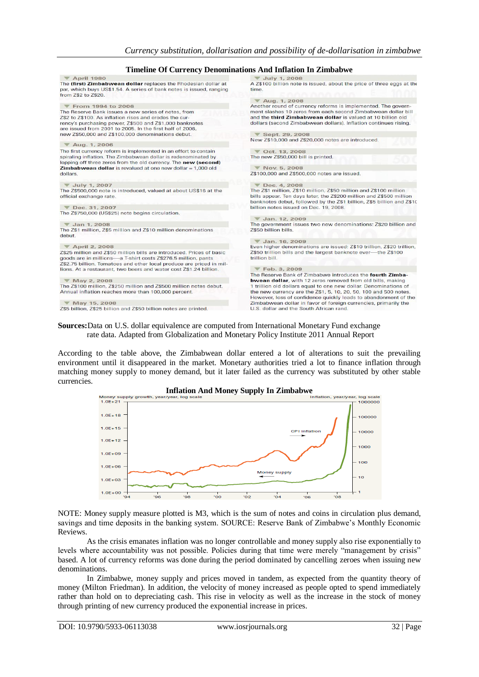|                                                                                                                                                                                                                                      | Timeline Of Currency Denominations And Inflation In Zimbabwe                                                                                                                                                      |
|--------------------------------------------------------------------------------------------------------------------------------------------------------------------------------------------------------------------------------------|-------------------------------------------------------------------------------------------------------------------------------------------------------------------------------------------------------------------|
| <b>V</b> April 1980                                                                                                                                                                                                                  | $\blacktriangledown$ July 1, 2008                                                                                                                                                                                 |
| The (first) Zimbabwean dollar replaces the Rhodesian dollar at<br>par, which buys US\$1.54. A series of bank notes is issued, ranging<br>from Z\$2 to Z\$20.                                                                         | A Z\$100 billion note is issued, about the price of three eggs at the<br>time.                                                                                                                                    |
|                                                                                                                                                                                                                                      | $\nabla$ Aug. 1, 2008                                                                                                                                                                                             |
| From 1994 to 2006                                                                                                                                                                                                                    | Another round of currency reforms is implemented. The govern-                                                                                                                                                     |
| The Reserve Bank issues a new series of notes, from<br>Z\$2 to Z\$100. As inflation rises and erodes the cur-<br>rency's purchasing power, Z\$500 and Z\$1,000 banknotes<br>are issued from 2001 to 2005. In the first half of 2006, | ment slashes 10 zeros from each second Zimbabwean dollar bill<br>and the third Zimbabwean dollar is valued at 10 billion old<br>dollars (second Zimbabwean dollars). Inflation continues rising.                  |
| new Z\$50,000 and Z\$100,000 denominations debut.                                                                                                                                                                                    | ▼ Sept. 29, 2008                                                                                                                                                                                                  |
| $\nabla$ Aug. 1, 2006                                                                                                                                                                                                                | New Z\$10,000 and Z\$20,000 notes are introduced.                                                                                                                                                                 |
| The first currency reform is implemented in an effort to contain                                                                                                                                                                     | $\triangledown$ Oct. 13, 2008                                                                                                                                                                                     |
| spiraling inflation. The Zimbabwean dollar is redenominated by<br>lopping off three zeros from the old currency. The new (second)                                                                                                    | The new Z\$50,000 bill is printed.                                                                                                                                                                                |
| <b>Zimbabwean dollar</b> is revalued at one new dollar $= 1,000$ old                                                                                                                                                                 | $\nabla$ Nov. 5, 2008                                                                                                                                                                                             |
| dollars.                                                                                                                                                                                                                             | Z\$100,000 and Z\$500,000 notes are issued.                                                                                                                                                                       |
| $\blacktriangledown$ July 1, 2007                                                                                                                                                                                                    | ▼ Dec. 4, 2008                                                                                                                                                                                                    |
| The Z\$500,000 note is introduced, valued at about US\$16 at the<br>official exchange rate.                                                                                                                                          | The Z\$1 million, Z\$10 million, Z\$50 million and Z\$100 million<br>bills appear. Ten days later, the Z\$200 million and Z\$500 million<br>banknotes debut, followed by the Z\$1 billion, Z\$5 billion and Z\$10 |
| Dec. 31, 2007                                                                                                                                                                                                                        | billion notes issued on Dec. 19, 2008.                                                                                                                                                                            |
| The Z\$750,000 (US\$25) note begins circulation.                                                                                                                                                                                     |                                                                                                                                                                                                                   |
|                                                                                                                                                                                                                                      | V Jan. 12, 2009                                                                                                                                                                                                   |
| $\blacktriangledown$ Jan 1, 2008<br>The Z\$1 million, Z\$5 million and Z\$10 million denominations                                                                                                                                   | The government issues two new denominations: Z\$20 billion and<br>Z\$50 billion bills.                                                                                                                            |
| debut.                                                                                                                                                                                                                               | V Jan. 16, 2009                                                                                                                                                                                                   |
| ▼ April 2, 2008                                                                                                                                                                                                                      | Even higher denominations are issued: Z\$10 trillion, Z\$20 trillion,                                                                                                                                             |
| Z\$25 million and Z\$50 million bills are introduced. Prices of basic<br>goods are in millions—a T-shirt costs Z\$276.5 million, pants<br>Z\$2.75 billion. Tomatoes and other local produce are priced in mil-                       | Z\$50 trillion bills and the largest banknote ever—the Z\$100<br>trillion bill.                                                                                                                                   |
| lions. At a restaurant, two beers and water cost Z\$1.24 billion.                                                                                                                                                                    | Feb. 3, 2009                                                                                                                                                                                                      |
|                                                                                                                                                                                                                                      | The Reserve Bank of Zimbabwe introduces the fourth Zimba-                                                                                                                                                         |
| ▼ May 2, 2008                                                                                                                                                                                                                        | <b>bwean dollar</b> , with 12 zeros removed from old bills, making                                                                                                                                                |
| The Z\$100 million, Z\$250 million and Z\$500 million notes debut.<br>Annual inflation reaches more than 100,000 percent.                                                                                                            | 1 trillion old dollars equal to one new dollar. Denominations of<br>the new currency are the Z\$1, 5, 10, 20, 50, 100 and 500 notes.<br>However, loss of confidence quickly leads to abandonment of the           |
| ▼ May 15, 2008                                                                                                                                                                                                                       | Zimbabwean dollar in favor of foreign currencies, primarily the                                                                                                                                                   |
| Z\$5 billion, Z\$25 billion and Z\$50 billion notes are printed.                                                                                                                                                                     | U.S. dollar and the South African rand.                                                                                                                                                                           |

rate data. Adapted from Globalization and Monetary Policy Institute 2011 Annual Report

According to the table above, the Zimbabwean dollar entered a lot of alterations to suit the prevailing environment until it disappeared in the market. Monetary authorities tried a lot to finance inflation through matching money supply to money demand, but it later failed as the currency was substituted by other stable currencies.



NOTE: Money supply measure plotted is M3, which is the sum of notes and coins in circulation plus demand, savings and time deposits in the banking system. SOURCE: Reserve Bank of Zimbabwe's Monthly Economic Reviews.

As the crisis emanates inflation was no longer controllable and money supply also rise exponentially to levels where accountability was not possible. Policies during that time were merely "management by crisis" based. A lot of currency reforms was done during the period dominated by cancelling zeroes when issuing new denominations.

In Zimbabwe, money supply and prices moved in tandem, as expected from the quantity theory of money (Milton Friedman). In addition, the velocity of money increased as people opted to spend immediately rather than hold on to depreciating cash. This rise in velocity as well as the increase in the stock of money through printing of new currency produced the exponential increase in prices.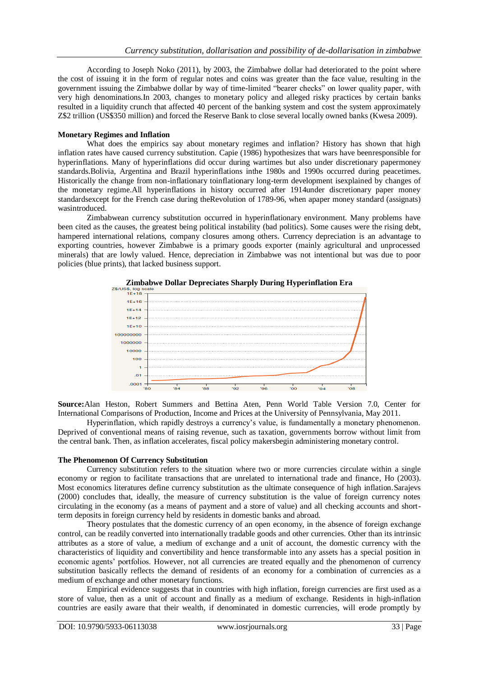According to Joseph Noko (2011), by 2003, the Zimbabwe dollar had deteriorated to the point where the cost of issuing it in the form of regular notes and coins was greater than the face value, resulting in the government issuing the Zimbabwe dollar by way of time-limited "bearer checks" on lower quality paper, with very high denominations.In 2003, changes to monetary policy and alleged risky practices by certain banks resulted in a liquidity crunch that affected 40 percent of the banking system and cost the system approximately Z\$2 trillion (US\$350 million) and forced the Reserve Bank to close several locally owned banks (Kwesa 2009).

## **Monetary Regimes and Inflation**

What does the empirics say about monetary regimes and inflation? History has shown that high inflation rates have caused currency substitution. Capie (1986) hypothesizes that wars have beenresponsible for hyperinflations. Many of hyperinflations did occur during wartimes but also under discretionary papermoney standards.Bolivia, Argentina and Brazil hyperinflations inthe 1980s and 1990s occurred during peacetimes. Historically the change from non-inflationary toinflationary long-term development isexplained by changes of the monetary regime.All hyperinflations in history occurred after 1914under discretionary paper money standardsexcept for the French case during theRevolution of 1789-96, when apaper money standard (assignats) wasintroduced.

Zimbabwean currency substitution occurred in hyperinflationary environment. Many problems have been cited as the causes, the greatest being political instability (bad politics). Some causes were the rising debt, hampered international relations, company closures among others. Currency depreciation is an advantage to exporting countries, however Zimbabwe is a primary goods exporter (mainly agricultural and unprocessed minerals) that are lowly valued. Hence, depreciation in Zimbabwe was not intentional but was due to poor policies (blue prints), that lacked business support.



**Source:**Alan Heston, Robert Summers and Bettina Aten, Penn World Table Version 7.0, Center for International Comparisons of Production, Income and Prices at the University of Pennsylvania, May 2011.

Hyperinflation, which rapidly destroys a currency's value, is fundamentally a monetary phenomenon. Deprived of conventional means of raising revenue, such as taxation, governments borrow without limit from the central bank. Then, as inflation accelerates, fiscal policy makersbegin administering monetary control.

#### **The Phenomenon Of Currency Substitution**

Currency substitution refers to the situation where two or more currencies circulate within a single economy or region to facilitate transactions that are unrelated to international trade and finance, Ho (2003). Most economics literatures define currency substitution as the ultimate consequence of high inflation.Sarajevs (2000) concludes that, ideally, the measure of currency substitution is the value of foreign currency notes circulating in the economy (as a means of payment and a store of value) and all checking accounts and shortterm deposits in foreign currency held by residents in domestic banks and abroad.

Theory postulates that the domestic currency of an open economy, in the absence of foreign exchange control, can be readily converted into internationally tradable goods and other currencies. Other than its intrinsic attributes as a store of value, a medium of exchange and a unit of account, the domestic currency with the characteristics of liquidity and convertibility and hence transformable into any assets has a special position in economic agents' portfolios. However, not all currencies are treated equally and the phenomenon of currency substitution basically reflects the demand of residents of an economy for a combination of currencies as a medium of exchange and other monetary functions.

Empirical evidence suggests that in countries with high inflation, foreign currencies are first used as a store of value, then as a unit of account and finally as a medium of exchange. Residents in high-inflation countries are easily aware that their wealth, if denominated in domestic currencies, will erode promptly by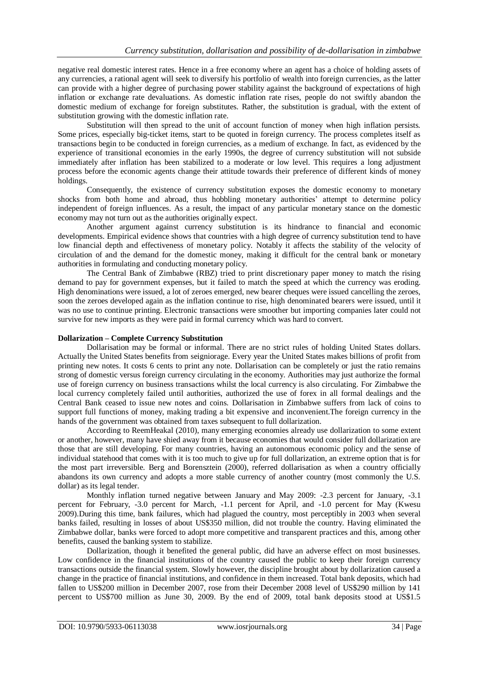negative real domestic interest rates. Hence in a free economy where an agent has a choice of holding assets of any currencies, a rational agent will seek to diversify his portfolio of wealth into foreign currencies, as the latter can provide with a higher degree of purchasing power stability against the background of expectations of high inflation or exchange rate devaluations. As domestic inflation rate rises, people do not swiftly abandon the domestic medium of exchange for foreign substitutes. Rather, the substitution is gradual, with the extent of substitution growing with the domestic inflation rate.

Substitution will then spread to the unit of account function of money when high inflation persists. Some prices, especially big-ticket items, start to be quoted in foreign currency. The process completes itself as transactions begin to be conducted in foreign currencies, as a medium of exchange. In fact, as evidenced by the experience of transitional economies in the early 1990s, the degree of currency substitution will not subside immediately after inflation has been stabilized to a moderate or low level. This requires a long adjustment process before the economic agents change their attitude towards their preference of different kinds of money holdings.

Consequently, the existence of currency substitution exposes the domestic economy to monetary shocks from both home and abroad, thus hobbling monetary authorities' attempt to determine policy independent of foreign influences. As a result, the impact of any particular monetary stance on the domestic economy may not turn out as the authorities originally expect.

Another argument against currency substitution is its hindrance to financial and economic developments. Empirical evidence shows that countries with a high degree of currency substitution tend to have low financial depth and effectiveness of monetary policy. Notably it affects the stability of the velocity of circulation of and the demand for the domestic money, making it difficult for the central bank or monetary authorities in formulating and conducting monetary policy.

The Central Bank of Zimbabwe (RBZ) tried to print discretionary paper money to match the rising demand to pay for government expenses, but it failed to match the speed at which the currency was eroding. High denominations were issued, a lot of zeroes emerged, new bearer cheques were issued cancelling the zeroes, soon the zeroes developed again as the inflation continue to rise, high denominated bearers were issued, until it was no use to continue printing. Electronic transactions were smoother but importing companies later could not survive for new imports as they were paid in formal currency which was hard to convert.

## **Dollarization – Complete Currency Substitution**

Dollarisation may be formal or informal. There are no strict rules of holding United States dollars. Actually the United States benefits from seigniorage. Every year the United States makes billions of profit from printing new notes. It costs 6 cents to print any note. Dollarisation can be completely or just the ratio remains strong of domestic versus foreign currency circulating in the economy. Authorities may just authorize the formal use of foreign currency on business transactions whilst the local currency is also circulating. For Zimbabwe the local currency completely failed until authorities, authorized the use of forex in all formal dealings and the Central Bank ceased to issue new notes and coins. Dollarisation in Zimbabwe suffers from lack of coins to support full functions of money, making trading a bit expensive and inconvenient.The foreign currency in the hands of the government was obtained from taxes subsequent to full dollarization.

According to ReemHeakal (2010), many emerging economies already use dollarization to some extent or another, however, many have shied away from it because economies that would consider full dollarization are those that are still developing. For many countries, having an autonomous economic policy and the sense of individual statehood that comes with it is too much to give up for full dollarization, an extreme option that is for the most part irreversible. Berg and Borensztein (2000), referred dollarisation as when a country officially abandons its own currency and adopts a more stable currency of another country (most commonly the U.S. dollar) as its legal tender.

Monthly inflation turned negative between January and May 2009: -2.3 percent for January, -3.1 percent for February, -3.0 percent for March, -1.1 percent for April, and -1.0 percent for May (Kwesu 2009).During this time, bank failures, which had plagued the country, most perceptibly in 2003 when several banks failed, resulting in losses of about US\$350 million, did not trouble the country. Having eliminated the Zimbabwe dollar, banks were forced to adopt more competitive and transparent practices and this, among other benefits, caused the banking system to stabilize.

Dollarization, though it benefited the general public, did have an adverse effect on most businesses. Low confidence in the financial institutions of the country caused the public to keep their foreign currency transactions outside the financial system. Slowly however, the discipline brought about by dollarization caused a change in the practice of financial institutions, and confidence in them increased. Total bank deposits, which had fallen to US\$200 million in December 2007, rose from their December 2008 level of US\$290 million by 141 percent to US\$700 million as June 30, 2009. By the end of 2009, total bank deposits stood at US\$1.5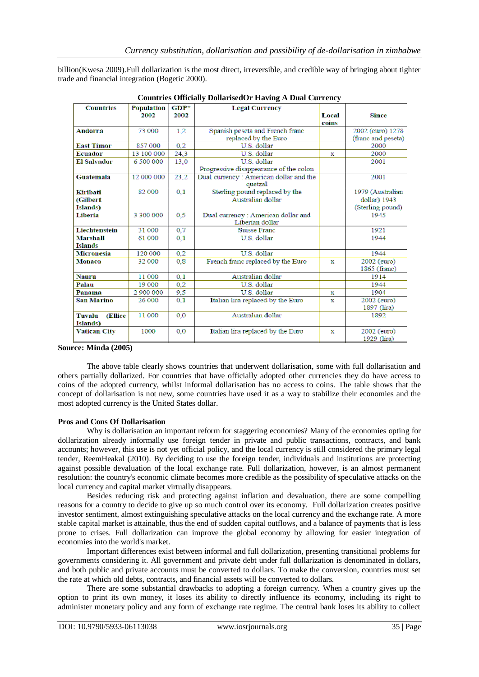| Countries Officially Donarisea of Traving A Dual Currency |                           |                |                                                       |                |                             |  |  |
|-----------------------------------------------------------|---------------------------|----------------|-------------------------------------------------------|----------------|-----------------------------|--|--|
| <b>Countries</b>                                          | <b>Population</b><br>2002 | $GDP*$<br>2002 | <b>Legal Currency</b>                                 | Local<br>coins | Since                       |  |  |
| <b>Andorra</b>                                            | 73 000                    | 1.2            | Spanish peseta and French franc                       |                | 2002 (euro) 1278            |  |  |
|                                                           |                           |                | replaced by the Euro                                  |                | (franc and peseta)          |  |  |
| <b>East Timor</b>                                         | 857 000                   | 0.2            | U.S. dollar                                           |                | 2000                        |  |  |
| <b>Ecuador</b>                                            | 13 100 000                | 24.3           | U.S. dollar                                           | x              | 2000                        |  |  |
| <b>El Salvador</b>                                        | 6 500 000                 | 13.0           | U.S. dollar                                           |                | 2001                        |  |  |
|                                                           |                           |                | Progressive disappearance of the colon                |                |                             |  |  |
| <b>Guatemala</b><br>12 000 000                            |                           | 23,2           | Dual currency: American dollar and the<br>quetzal     |                | 2001                        |  |  |
| Kiribati                                                  | 82 000                    | 0.1            | Sterling pound replaced by the                        |                | 1979 (Australian            |  |  |
| (Gilbert                                                  |                           |                | Australian dollar                                     |                | dollar) 1943                |  |  |
| <b>Islands</b> )                                          |                           |                |                                                       |                | (Sterling pound)            |  |  |
| Liberia                                                   | 3 300 000                 | 0.5            | Dual currency: American dollar and<br>Liberian dollar |                | 1945                        |  |  |
| <b>Liechtenstein</b>                                      | 31 000                    | 0.7            | <b>Suisse Franc</b>                                   |                | 1921                        |  |  |
| <b>Marshall</b>                                           | 61 000                    | 0.1            | U.S. dollar                                           |                | 1944                        |  |  |
| <b>Islands</b>                                            |                           |                |                                                       |                |                             |  |  |
| <b>Micronesia</b>                                         | 120 000                   | 0.2            | U.S. dollar                                           |                | 1944                        |  |  |
| <b>Monaco</b>                                             | 32 000                    | 0.8            | French franc replaced by the Euro                     | х              | 2002 (euro)<br>1865 (franc) |  |  |
| Nauru                                                     | 11 000                    | 0.1            | Australian dollar                                     |                | 1914                        |  |  |
| Palau                                                     | 19 000                    | 0.2            | U.S. dollar                                           |                | 1944                        |  |  |
| Panama                                                    | 2 900 000                 | 9,5            | U.S. dollar                                           | x              | 1904                        |  |  |
| <b>San Marino</b>                                         | 26 000                    | 0.1            | Italian lira replaced by the Euro                     | x              | 2002 (euro)<br>1897 (lira)  |  |  |
| Tuvalu<br><b>(Ellice</b><br>Islands)                      | 11 000                    | 0.0            | Australian dollar                                     |                | 1892                        |  |  |
| <b>Vatican City</b>                                       | 1000                      | 0.0            | Italian lira replaced by the Euro                     | х              | 2002 (euro)<br>1929 (lira)  |  |  |

|  | <b>Countries Officially DollarisedOr Having A Dual Currency</b> |  |  |
|--|-----------------------------------------------------------------|--|--|
|  |                                                                 |  |  |

billion(Kwesa 2009).Full dollarization is the most direct, irreversible, and credible way of bringing about tighter

# **Source: Minda (2005)**

The above table clearly shows countries that underwent dollarisation, some with full dollarisation and others partially dollarized. For countries that have officially adopted other currencies they do have access to coins of the adopted currency, whilst informal dollarisation has no access to coins. The table shows that the concept of dollarisation is not new, some countries have used it as a way to stabilize their economies and the most adopted currency is the United States dollar.

#### **Pros and Cons Of Dollarisation**

trade and financial integration (Bogetic 2000).

Why is dollarisation an important reform for staggering economies? Many of the economies opting for dollarization already informally use foreign tender in private and public transactions, contracts, and bank accounts; however, this use is not yet official policy, and the local currency is still considered the primary legal tender, ReemHeakal (2010). By deciding to use the foreign tender, individuals and institutions are protecting against possible devaluation of the local exchange rate. Full dollarization, however, is an almost permanent resolution: the country's economic climate becomes more credible as the possibility of speculative attacks on the local currency and capital market virtually disappears.

Besides reducing risk and protecting against inflation and devaluation, there are some compelling reasons for a country to decide to give up so much control over its economy. Full dollarization creates positive investor sentiment, almost extinguishing speculative attacks on the local currency and the exchange rate. A more stable capital market is attainable, thus the end of sudden capital outflows, and a balance of payments that is less prone to crises. Full dollarization can improve the global economy by allowing for easier integration of economies into the world's market.

Important differences exist between informal and full dollarization, presenting transitional problems for governments considering it. All government and private debt under full dollarization is denominated in dollars, and both public and private accounts must be converted to dollars. To make the conversion, countries must set the rate at which old debts, contracts, and financial assets will be converted to dollars.

There are some substantial drawbacks to adopting a foreign currency. When a country gives up the option to print its own money, it loses its ability to directly influence its economy, including its right to administer monetary policy and any form of exchange rate regime. The central bank loses its ability to collect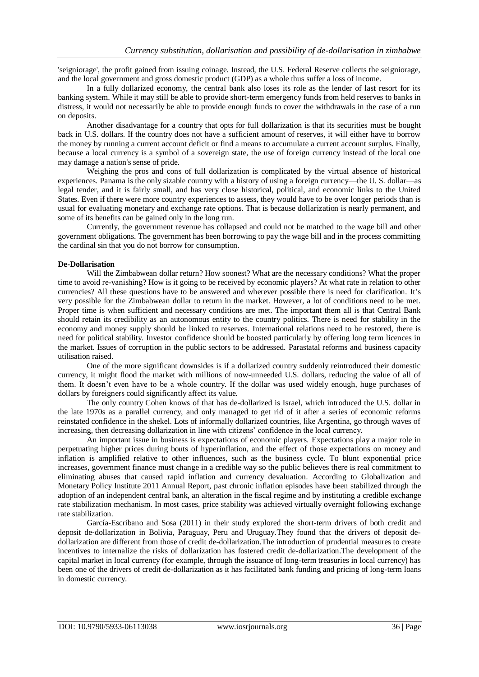'seigniorage', the profit gained from issuing coinage. Instead, the U.S. Federal Reserve collects the seigniorage, and the local government and gross domestic product (GDP) as a whole thus suffer a loss of income.

In a fully dollarized economy, the central bank also loses its role as the lender of last resort for its banking system. While it may still be able to provide short-term emergency funds from held reserves to banks in distress, it would not necessarily be able to provide enough funds to cover the withdrawals in the case of a run on deposits.

Another disadvantage for a country that opts for full dollarization is that its securities must be bought back in U.S. dollars. If the country does not have a sufficient amount of reserves, it will either have to borrow the money by running a current account deficit or find a means to accumulate a current account surplus. Finally, because a local currency is a symbol of a sovereign state, the use of foreign currency instead of the local one may damage a nation's sense of pride.

Weighing the pros and cons of full dollarization is complicated by the virtual absence of historical experiences. Panama is the only sizable country with a history of using a foreign currency—the U. S. dollar—as legal tender, and it is fairly small, and has very close historical, political, and economic links to the United States. Even if there were more country experiences to assess, they would have to be over longer periods than is usual for evaluating monetary and exchange rate options. That is because dollarization is nearly permanent, and some of its benefits can be gained only in the long run.

Currently, the government revenue has collapsed and could not be matched to the wage bill and other government obligations. The government has been borrowing to pay the wage bill and in the process committing the cardinal sin that you do not borrow for consumption.

#### **De-Dollarisation**

Will the Zimbabwean dollar return? How soonest? What are the necessary conditions? What the proper time to avoid re-vanishing? How is it going to be received by economic players? At what rate in relation to other currencies? All these questions have to be answered and wherever possible there is need for clarification. It's very possible for the Zimbabwean dollar to return in the market. However, a lot of conditions need to be met. Proper time is when sufficient and necessary conditions are met. The important them all is that Central Bank should retain its credibility as an autonomous entity to the country politics. There is need for stability in the economy and money supply should be linked to reserves. International relations need to be restored, there is need for political stability. Investor confidence should be boosted particularly by offering long term licences in the market. Issues of corruption in the public sectors to be addressed. Parastatal reforms and business capacity utilisation raised.

One of the more significant downsides is if a dollarized country suddenly reintroduced their domestic currency, it might flood the market with millions of now-unneeded U.S. dollars, reducing the value of all of them. It doesn't even have to be a whole country. If the dollar was used widely enough, huge purchases of dollars by foreigners could significantly affect its value.

The only country Cohen knows of that has de-dollarized is Israel, which introduced the U.S. dollar in the late 1970s as a parallel currency, and only managed to get rid of it after a series of economic reforms reinstated confidence in the shekel. Lots of informally dollarized countries, like Argentina, go through waves of increasing, then decreasing dollarization in line with citizens' confidence in the local currency.

An important issue in business is expectations of economic players. Expectations play a major role in perpetuating higher prices during bouts of hyperinflation, and the effect of those expectations on money and inflation is amplified relative to other influences, such as the business cycle. To blunt exponential price increases, government finance must change in a credible way so the public believes there is real commitment to eliminating abuses that caused rapid inflation and currency devaluation. According to Globalization and Monetary Policy Institute 2011 Annual Report, past chronic inflation episodes have been stabilized through the adoption of an independent central bank, an alteration in the fiscal regime and by instituting a credible exchange rate stabilization mechanism. In most cases, price stability was achieved virtually overnight following exchange rate stabilization.

García-Escribano and Sosa (2011) in their study explored the short-term drivers of both credit and deposit de‐dollarization in Bolivia, Paraguay, Peru and Uruguay.They found that the drivers of deposit dedollarization are different from those of credit de-dollarization.The introduction of prudential measures to create incentives to internalize the risks of dollarization has fostered credit de-dollarization.The development of the capital market in local currency (for example, through the issuance of long-term treasuries in local currency) has been one of the drivers of credit de-dollarization as it has facilitated bank funding and pricing of long-term loans in domestic currency.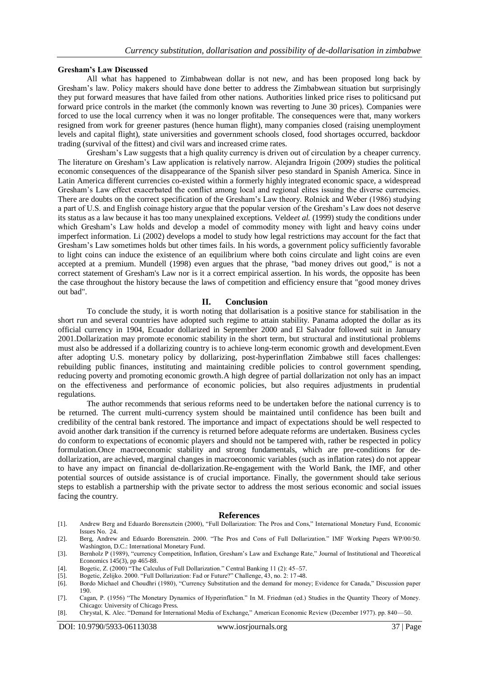#### **Gresham's Law Discussed**

All what has happened to Zimbabwean dollar is not new, and has been proposed long back by Gresham's law. Policy makers should have done better to address the Zimbabwean situation but surprisingly they put forward measures that have failed from other nations. Authorities linked price rises to politicsand put forward price controls in the market (the commonly known was reverting to June 30 prices). Companies were forced to use the local currency when it was no longer profitable. The consequences were that, many workers resigned from work for greener pastures (hence human flight), many companies closed (raising unemployment levels and capital flight), state universities and government schools closed, food shortages occurred, backdoor trading (survival of the fittest) and civil wars and increased crime rates.

Gresham's Law suggests that a high quality currency is driven out of circulation by a cheaper currency. The literature on Gresham's Law application is relatively narrow. Alejandra Irigoin (2009) studies the political economic consequences of the disappearance of the Spanish silver peso standard in Spanish America. Since in Latin America different currencies co-existed within a formerly highly integrated economic space, a widespread Gresham's Law effect exacerbated the conflict among local and regional elites issuing the diverse currencies. There are doubts on the correct specification of the Gresham's Law theory. Rolnick and Weber (1986) studying a part of U.S. and English coinage history argue that the popular version of the Gresham's Law does not deserve its status as a law because it has too many unexplained exceptions. Velde*et al.* (1999) study the conditions under which Gresham's Law holds and develop a model of commodity money with light and heavy coins under imperfect information. Li (2002) develops a model to study how legal restrictions may account for the fact that Gresham's Law sometimes holds but other times fails. In his words, a government policy sufficiently favorable to light coins can induce the existence of an equilibrium where both coins circulate and light coins are even accepted at a premium. Mundell (1998) even argues that the phrase, "bad money drives out good," is not a correct statement of Gresham's Law nor is it a correct empirical assertion. In his words, the opposite has been the case throughout the history because the laws of competition and efficiency ensure that "good money drives out bad".

#### **II. Conclusion**

To conclude the study, it is worth noting that dollarisation is a positive stance for stabilisation in the short run and several countries have adopted such regime to attain stability. Panama adopted the dollar as its official currency in 1904, Ecuador dollarized in September 2000 and El Salvador followed suit in January 2001.Dollarization may promote economic stability in the short term, but structural and institutional problems must also be addressed if a dollarizing country is to achieve long-term economic growth and development.Even after adopting U.S. monetary policy by dollarizing, post-hyperinflation Zimbabwe still faces challenges: rebuilding public finances, instituting and maintaining credible policies to control government spending, reducing poverty and promoting economic growth.A high degree of partial dollarization not only has an impact on the effectiveness and performance of economic policies, but also requires adjustments in prudential regulations.

The author recommends that serious reforms need to be undertaken before the national currency is to be returned. The current multi-currency system should be maintained until confidence has been built and credibility of the central bank restored. The importance and impact of expectations should be well respected to avoid another dark transition if the currency is returned before adequate reforms are undertaken. Business cycles do conform to expectations of economic players and should not be tampered with, rather be respected in policy formulation.Once macroeconomic stability and strong fundamentals, which are pre-conditions for dedollarization, are achieved, marginal changes in macroeconomic variables (such as inflation rates) do not appear to have any impact on financial de-dollarization.Re-engagement with the World Bank, the IMF, and other potential sources of outside assistance is of crucial importance. Finally, the government should take serious steps to establish a partnership with the private sector to address the most serious economic and social issues facing the country.

#### **References**

- [1]. Andrew Berg and Eduardo Borensztein (2000), "Full Dollarization: The Pros and Cons," International Monetary Fund, Economic Issues No. 24.
- [2]. Berg, Andrew and Eduardo Borensztein. 2000. "The Pros and Cons of Full Dollarization." IMF Working Papers WP/00/50. Washington, D.C.: International Monetary Fund.
- [3]. Bernholz P (1989), "currency Competition, Inflation, Gresham's Law and Exchange Rate," Journal of Institutional and Theoretical Economics 145(3), pp 465-88.
- [4]. Bogetic, Z. (2000) "The Calculus of Full Dollarization." Central Banking 11 (2):  $45-57$ .
- [5]. Bogetic, Zelijko. 2000. "Full Dollarization: Fad or Future?" Challenge, 43, no. 2: 17-48.
- [6]. Bordo Michael and Choudhri (1980), "Currency Substitution and the demand for money; Evidence for Canada," Discussion paper 190.
- [7]. Cagan, P. (1956) "The Monetary Dynamics of Hyperinflation." In M. Friedman (ed.) Studies in the Quantity Theory of Money. Chicago: University of Chicago Press.
- [8]. Chrystal, K. Alec. "Demand for International Media of Exchange," American Economic Review (December 1977). pp. 840-50.